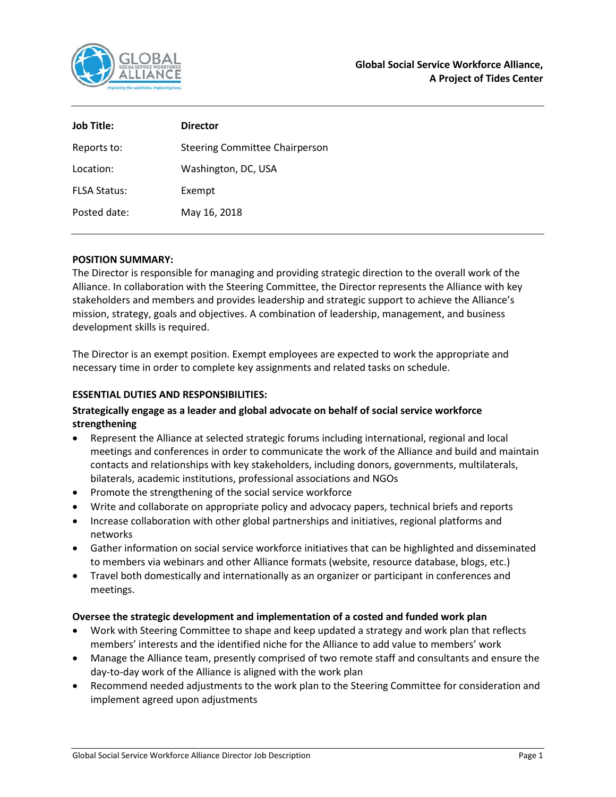

| Job Title:          | <b>Director</b>                       |
|---------------------|---------------------------------------|
| Reports to:         | <b>Steering Committee Chairperson</b> |
| Location:           | Washington, DC, USA                   |
| <b>FLSA Status:</b> | Exempt                                |
| Posted date:        | May 16, 2018                          |

#### **POSITION SUMMARY:**

The Director is responsible for managing and providing strategic direction to the overall work of the Alliance. In collaboration with the Steering Committee, the Director represents the Alliance with key stakeholders and members and provides leadership and strategic support to achieve the Alliance's mission, strategy, goals and objectives. A combination of leadership, management, and business development skills is required.

The Director is an exempt position. Exempt employees are expected to work the appropriate and necessary time in order to complete key assignments and related tasks on schedule.

## **ESSENTIAL DUTIES AND RESPONSIBILITIES:**

# **Strategically engage as a leader and global advocate on behalf of social service workforce strengthening**

- Represent the Alliance at selected strategic forums including international, regional and local meetings and conferences in order to communicate the work of the Alliance and build and maintain contacts and relationships with key stakeholders, including donors, governments, multilaterals, bilaterals, academic institutions, professional associations and NGOs
- Promote the strengthening of the social service workforce
- Write and collaborate on appropriate policy and advocacy papers, technical briefs and reports
- Increase collaboration with other global partnerships and initiatives, regional platforms and networks
- Gather information on social service workforce initiatives that can be highlighted and disseminated to members via webinars and other Alliance formats (website, resource database, blogs, etc.)
- Travel both domestically and internationally as an organizer or participant in conferences and meetings.

#### **Oversee the strategic development and implementation of a costed and funded work plan**

- Work with Steering Committee to shape and keep updated a strategy and work plan that reflects members' interests and the identified niche for the Alliance to add value to members' work
- Manage the Alliance team, presently comprised of two remote staff and consultants and ensure the day-to-day work of the Alliance is aligned with the work plan
- Recommend needed adjustments to the work plan to the Steering Committee for consideration and implement agreed upon adjustments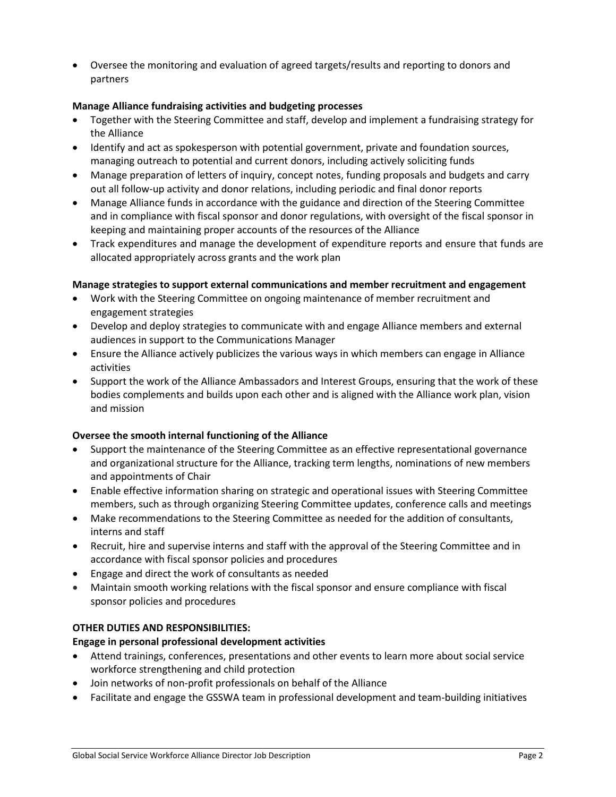• Oversee the monitoring and evaluation of agreed targets/results and reporting to donors and partners

## **Manage Alliance fundraising activities and budgeting processes**

- Together with the Steering Committee and staff, develop and implement a fundraising strategy for the Alliance
- Identify and act as spokesperson with potential government, private and foundation sources, managing outreach to potential and current donors, including actively soliciting funds
- Manage preparation of letters of inquiry, concept notes, funding proposals and budgets and carry out all follow-up activity and donor relations, including periodic and final donor reports
- Manage Alliance funds in accordance with the guidance and direction of the Steering Committee and in compliance with fiscal sponsor and donor regulations, with oversight of the fiscal sponsor in keeping and maintaining proper accounts of the resources of the Alliance
- Track expenditures and manage the development of expenditure reports and ensure that funds are allocated appropriately across grants and the work plan

### **Manage strategies to support external communications and member recruitment and engagement**

- Work with the Steering Committee on ongoing maintenance of member recruitment and engagement strategies
- Develop and deploy strategies to communicate with and engage Alliance members and external audiences in support to the Communications Manager
- Ensure the Alliance actively publicizes the various ways in which members can engage in Alliance activities
- Support the work of the Alliance Ambassadors and Interest Groups, ensuring that the work of these bodies complements and builds upon each other and is aligned with the Alliance work plan, vision and mission

# **Oversee the smooth internal functioning of the Alliance**

- Support the maintenance of the Steering Committee as an effective representational governance and organizational structure for the Alliance, tracking term lengths, nominations of new members and appointments of Chair
- Enable effective information sharing on strategic and operational issues with Steering Committee members, such as through organizing Steering Committee updates, conference calls and meetings
- Make recommendations to the Steering Committee as needed for the addition of consultants, interns and staff
- Recruit, hire and supervise interns and staff with the approval of the Steering Committee and in accordance with fiscal sponsor policies and procedures
- Engage and direct the work of consultants as needed
- Maintain smooth working relations with the fiscal sponsor and ensure compliance with fiscal sponsor policies and procedures

### **OTHER DUTIES AND RESPONSIBILITIES:**

#### **Engage in personal professional development activities**

- Attend trainings, conferences, presentations and other events to learn more about social service workforce strengthening and child protection
- Join networks of non-profit professionals on behalf of the Alliance
- Facilitate and engage the GSSWA team in professional development and team-building initiatives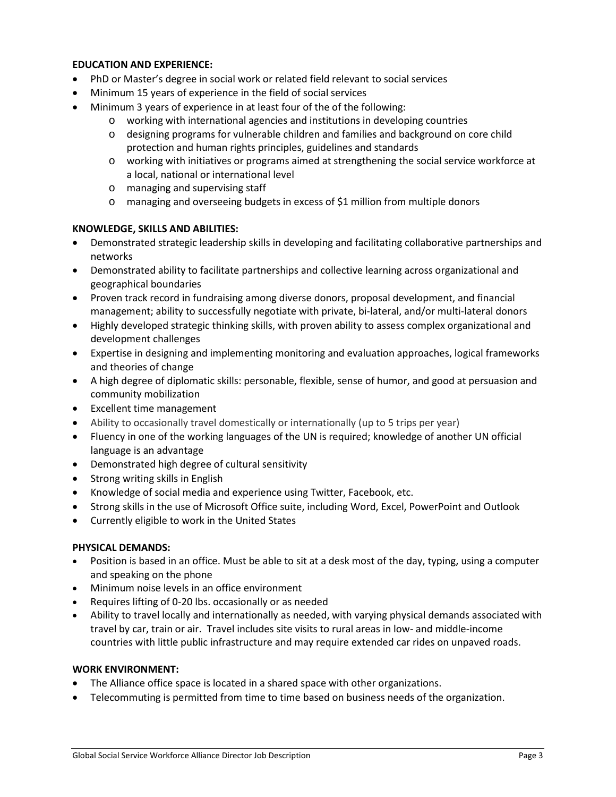#### **EDUCATION AND EXPERIENCE:**

- PhD or Master's degree in social work or related field relevant to social services
- Minimum 15 years of experience in the field of social services
- Minimum 3 years of experience in at least four of the of the following:
	- o working with international agencies and institutions in developing countries
	- o designing programs for vulnerable children and families and background on core child protection and human rights principles, guidelines and standards
	- o working with initiatives or programs aimed at strengthening the social service workforce at a local, national or international level
	- o managing and supervising staff
	- o managing and overseeing budgets in excess of \$1 million from multiple donors

#### **KNOWLEDGE, SKILLS AND ABILITIES:**

- Demonstrated strategic leadership skills in developing and facilitating collaborative partnerships and networks
- Demonstrated ability to facilitate partnerships and collective learning across organizational and geographical boundaries
- Proven track record in fundraising among diverse donors, proposal development, and financial management; ability to successfully negotiate with private, bi-lateral, and/or multi-lateral donors
- Highly developed strategic thinking skills, with proven ability to assess complex organizational and development challenges
- Expertise in designing and implementing monitoring and evaluation approaches, logical frameworks and theories of change
- A high degree of diplomatic skills: personable, flexible, sense of humor, and good at persuasion and community mobilization
- Excellent time management
- Ability to occasionally travel domestically or internationally (up to 5 trips per year)
- Fluency in one of the working languages of the UN is required; knowledge of another UN official language is an advantage
- Demonstrated high degree of cultural sensitivity
- Strong writing skills in English
- Knowledge of social media and experience using Twitter, Facebook, etc.
- Strong skills in the use of Microsoft Office suite, including Word, Excel, PowerPoint and Outlook
- Currently eligible to work in the United States

#### **PHYSICAL DEMANDS:**

- Position is based in an office. Must be able to sit at a desk most of the day, typing, using a computer and speaking on the phone
- Minimum noise levels in an office environment
- Requires lifting of 0-20 lbs. occasionally or as needed
- Ability to travel locally and internationally as needed, with varying physical demands associated with travel by car, train or air. Travel includes site visits to rural areas in low- and middle-income countries with little public infrastructure and may require extended car rides on unpaved roads.

#### **WORK ENVIRONMENT:**

- The Alliance office space is located in a shared space with other organizations.
- Telecommuting is permitted from time to time based on business needs of the organization.